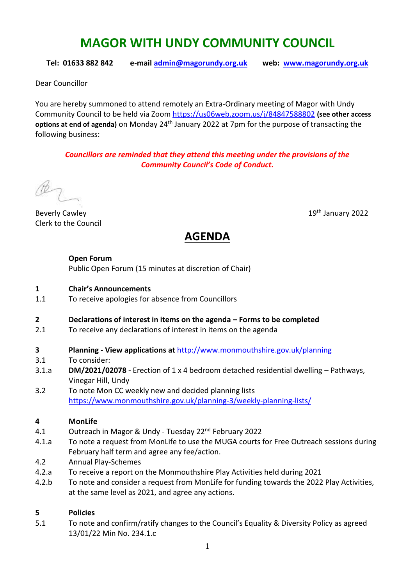# **MAGOR WITH UNDY COMMUNITY COUNCIL**

**Tel: 01633 882 842 e-mail [admin@magorundy.org.uk](mailto:admin@magorundy.org.uk) web: [www.magorundy.org.uk](http://www.magorundy.org.uk/)**

Dear Councillor

You are hereby summoned to attend remotely an Extra-Ordinary meeting of Magor with Undy Community Council to be held via Zoom <https://us06web.zoom.us/j/84847588802> **(see other access options at end of agenda)** on Monday 24th January 2022 at 7pm for the purpose of transacting the following business:

*Councillors are reminded that they attend this meeting under the provisions of the Community Council's Code of Conduct.*

Beverly Cawley 2022 Clerk to the Council

# **AGENDA**

#### **Open Forum**

Public Open Forum (15 minutes at discretion of Chair)

#### **1 Chair's Announcements**

1.1 To receive apologies for absence from Councillors

### **2 Declarations of interest in items on the agenda – Forms to be completed**

- 2.1 To receive any declarations of interest in items on the agenda
- **3 Planning - View applications at** <http://www.monmouthshire.gov.uk/planning>
- 3.1 To consider:
- 3.1.a **DM/2021/02078 -** Erection of 1 x 4 bedroom detached residential dwelling Pathways, Vinegar Hill, Undy
- 3.2 To note Mon CC weekly new and decided planning lists <https://www.monmouthshire.gov.uk/planning-3/weekly-planning-lists/>

### **4 MonLife**

- 4.1 Outreach in Magor & Undy Tuesday 22nd February 2022
- 4.1.a To note a request from MonLife to use the MUGA courts for Free Outreach sessions during February half term and agree any fee/action.
- 4.2 Annual Play-Schemes
- 4.2.a To receive a report on the Monmouthshire Play Activities held during 2021
- 4.2.b To note and consider a request from MonLife for funding towards the 2022 Play Activities, at the same level as 2021, and agree any actions.

### **5 Policies**

5.1 To note and confirm/ratify changes to the Council's Equality & Diversity Policy as agreed 13/01/22 Min No. 234.1.c